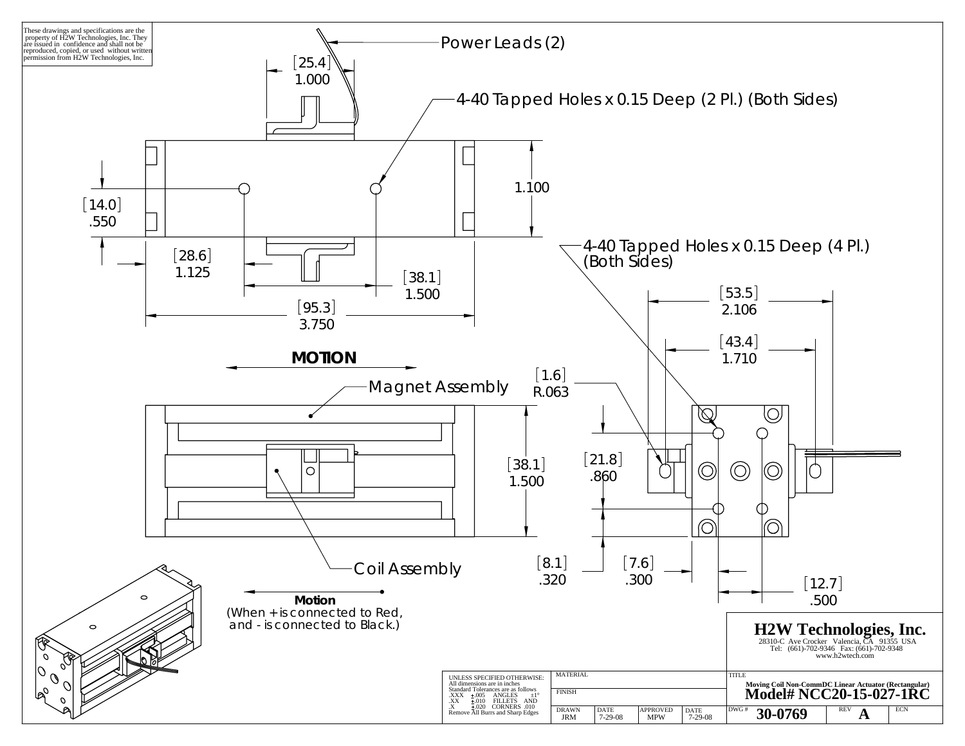